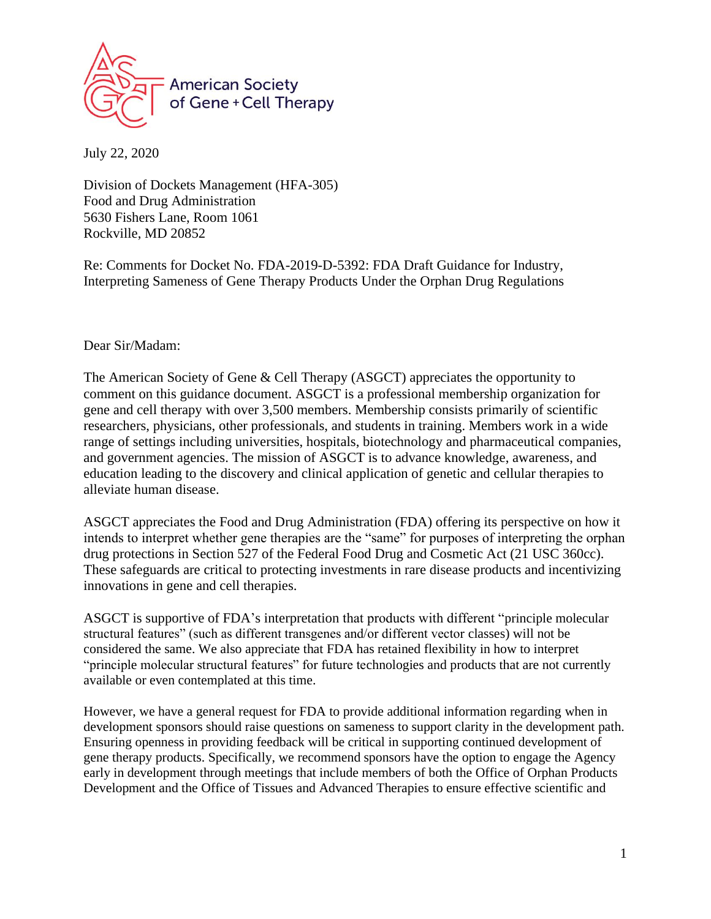

July 22, 2020

Division of Dockets Management (HFA-305) Food and Drug Administration 5630 Fishers Lane, Room 1061 Rockville, MD 20852

Re: Comments for Docket No. FDA-2019-D-5392: FDA Draft Guidance for Industry, Interpreting Sameness of Gene Therapy Products Under the Orphan Drug Regulations

Dear Sir/Madam:

The American Society of Gene & Cell Therapy (ASGCT) appreciates the opportunity to comment on this guidance document. ASGCT is a professional membership organization for gene and cell therapy with over 3,500 members. Membership consists primarily of scientific researchers, physicians, other professionals, and students in training. Members work in a wide range of settings including universities, hospitals, biotechnology and pharmaceutical companies, and government agencies. The mission of ASGCT is to advance knowledge, awareness, and education leading to the discovery and clinical application of genetic and cellular therapies to alleviate human disease.

ASGCT appreciates the Food and Drug Administration (FDA) offering its perspective on how it intends to interpret whether gene therapies are the "same" for purposes of interpreting the orphan drug protections in Section 527 of the Federal Food Drug and Cosmetic Act (21 USC 360cc). These safeguards are critical to protecting investments in rare disease products and incentivizing innovations in gene and cell therapies.

ASGCT is supportive of FDA's interpretation that products with different "principle molecular structural features" (such as different transgenes and/or different vector classes) will not be considered the same. We also appreciate that FDA has retained flexibility in how to interpret "principle molecular structural features" for future technologies and products that are not currently available or even contemplated at this time.

However, we have a general request for FDA to provide additional information regarding when in development sponsors should raise questions on sameness to support clarity in the development path. Ensuring openness in providing feedback will be critical in supporting continued development of gene therapy products. Specifically, we recommend sponsors have the option to engage the Agency early in development through meetings that include members of both the Office of Orphan Products Development and the Office of Tissues and Advanced Therapies to ensure effective scientific and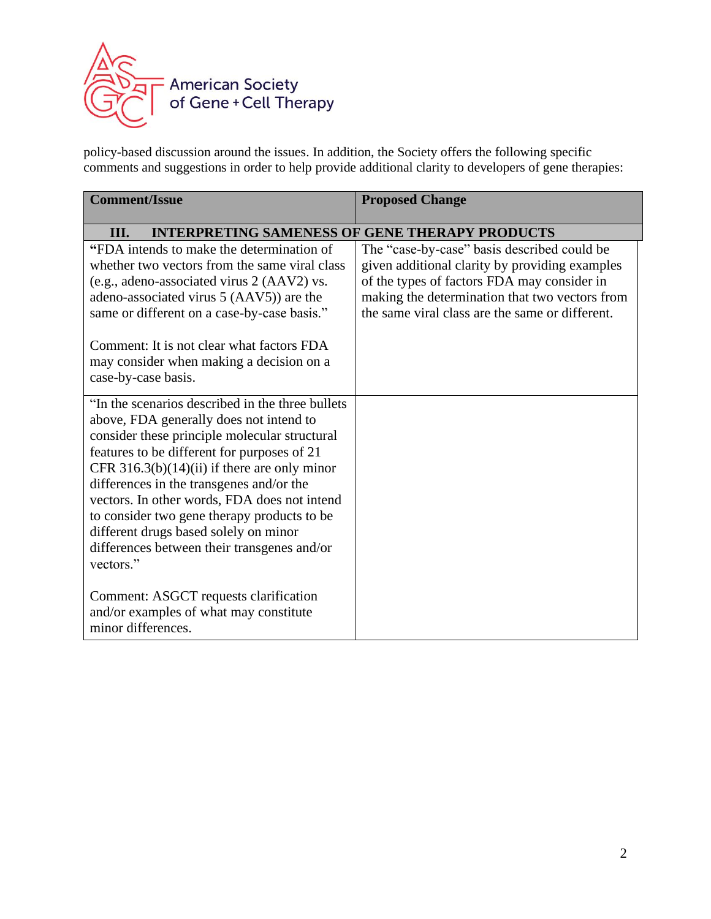

policy-based discussion around the issues. In addition, the Society offers the following specific comments and suggestions in order to help provide additional clarity to developers of gene therapies:

| <b>Comment/Issue</b>                                                                                                                                                                                                                                                                                                                                                                                                                                                                           | <b>Proposed Change</b>                                                                                                                                                                                                                            |
|------------------------------------------------------------------------------------------------------------------------------------------------------------------------------------------------------------------------------------------------------------------------------------------------------------------------------------------------------------------------------------------------------------------------------------------------------------------------------------------------|---------------------------------------------------------------------------------------------------------------------------------------------------------------------------------------------------------------------------------------------------|
| <b>INTERPRETING SAMENESS OF GENE THERAPY PRODUCTS</b><br>III.                                                                                                                                                                                                                                                                                                                                                                                                                                  |                                                                                                                                                                                                                                                   |
| "FDA intends to make the determination of<br>whether two vectors from the same viral class<br>(e.g., adeno-associated virus 2 (AAV2) vs.<br>adeno-associated virus 5 (AAV5)) are the<br>same or different on a case-by-case basis."                                                                                                                                                                                                                                                            | The "case-by-case" basis described could be<br>given additional clarity by providing examples<br>of the types of factors FDA may consider in<br>making the determination that two vectors from<br>the same viral class are the same or different. |
| Comment: It is not clear what factors FDA<br>may consider when making a decision on a<br>case-by-case basis.                                                                                                                                                                                                                                                                                                                                                                                   |                                                                                                                                                                                                                                                   |
| "In the scenarios described in the three bullets"<br>above, FDA generally does not intend to<br>consider these principle molecular structural<br>features to be different for purposes of 21<br>CFR $316.3(b)(14)(ii)$ if there are only minor<br>differences in the transgenes and/or the<br>vectors. In other words, FDA does not intend<br>to consider two gene therapy products to be<br>different drugs based solely on minor<br>differences between their transgenes and/or<br>vectors." |                                                                                                                                                                                                                                                   |
| Comment: ASGCT requests clarification<br>and/or examples of what may constitute<br>minor differences.                                                                                                                                                                                                                                                                                                                                                                                          |                                                                                                                                                                                                                                                   |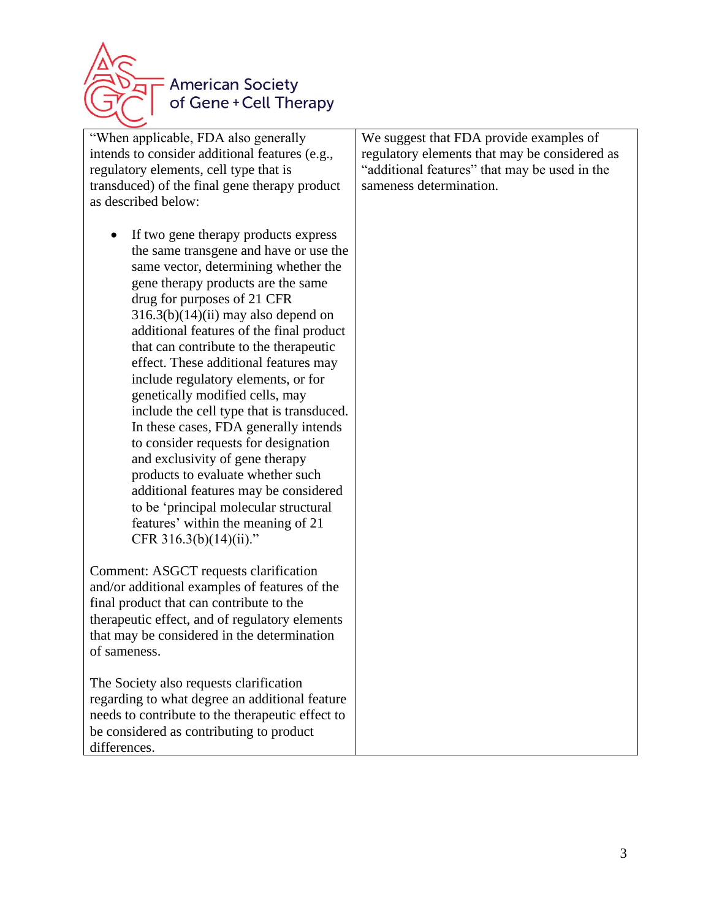

| "When applicable, FDA also generally<br>intends to consider additional features (e.g.,<br>regulatory elements, cell type that is<br>transduced) of the final gene therapy product                                                                                                                                                                                                                                                                                                                                                                                                                                                                                                                                                                                                                                                            | We suggest that FDA provide examples of<br>regulatory elements that may be considered as<br>"additional features" that may be used in the<br>sameness determination. |
|----------------------------------------------------------------------------------------------------------------------------------------------------------------------------------------------------------------------------------------------------------------------------------------------------------------------------------------------------------------------------------------------------------------------------------------------------------------------------------------------------------------------------------------------------------------------------------------------------------------------------------------------------------------------------------------------------------------------------------------------------------------------------------------------------------------------------------------------|----------------------------------------------------------------------------------------------------------------------------------------------------------------------|
| as described below:<br>If two gene therapy products express<br>$\bullet$<br>the same transgene and have or use the<br>same vector, determining whether the<br>gene therapy products are the same<br>drug for purposes of 21 CFR<br>$316.3(b)(14)(ii)$ may also depend on<br>additional features of the final product<br>that can contribute to the therapeutic<br>effect. These additional features may<br>include regulatory elements, or for<br>genetically modified cells, may<br>include the cell type that is transduced.<br>In these cases, FDA generally intends<br>to consider requests for designation<br>and exclusivity of gene therapy<br>products to evaluate whether such<br>additional features may be considered<br>to be 'principal molecular structural<br>features' within the meaning of 21<br>CFR $316.3(b)(14)(ii)$ ." |                                                                                                                                                                      |
| Comment: ASGCT requests clarification<br>and/or additional examples of features of the<br>final product that can contribute to the<br>therapeutic effect, and of regulatory elements<br>that may be considered in the determination<br>of sameness.                                                                                                                                                                                                                                                                                                                                                                                                                                                                                                                                                                                          |                                                                                                                                                                      |
| The Society also requests clarification<br>regarding to what degree an additional feature<br>needs to contribute to the therapeutic effect to<br>be considered as contributing to product<br>differences.                                                                                                                                                                                                                                                                                                                                                                                                                                                                                                                                                                                                                                    |                                                                                                                                                                      |